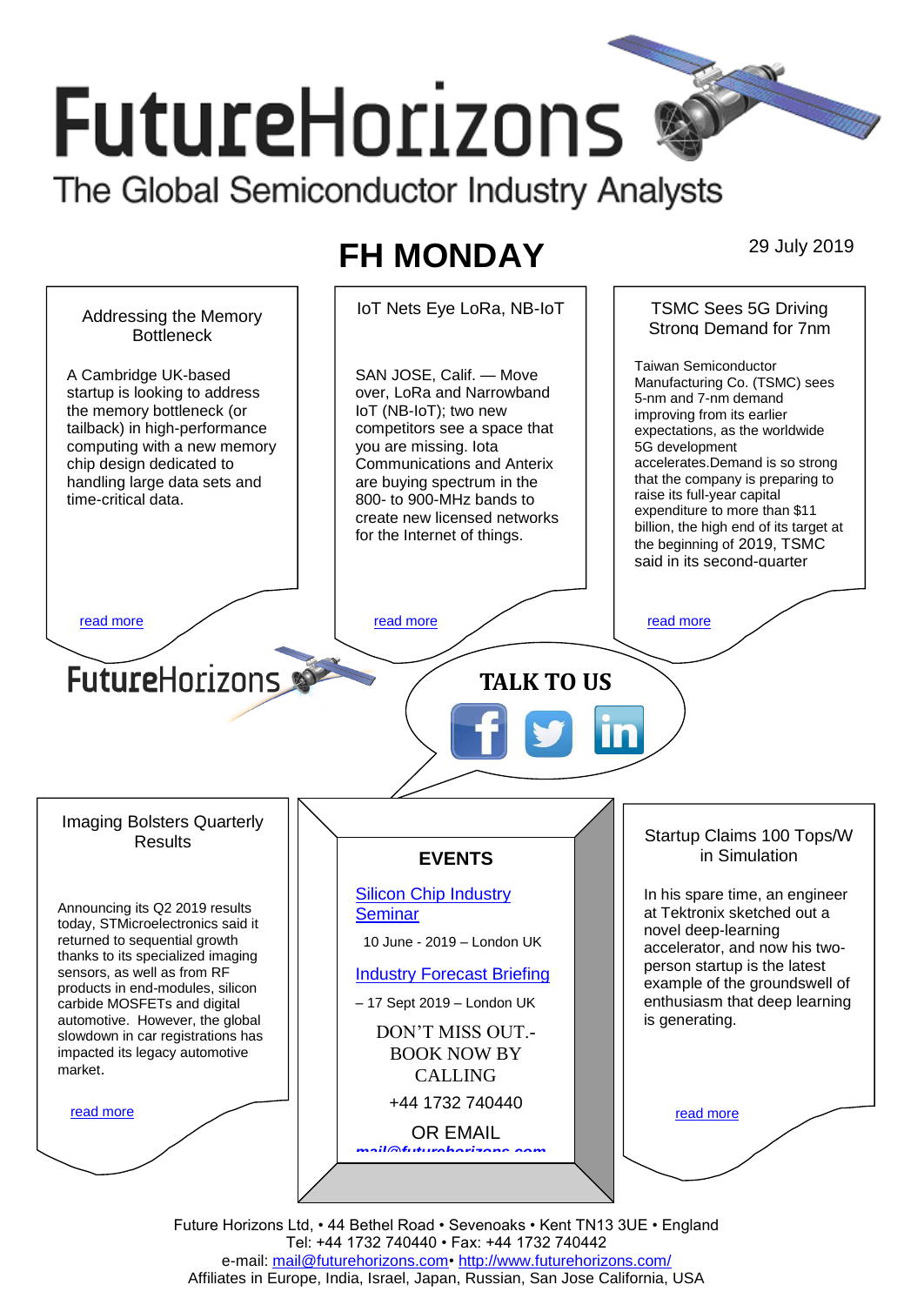# **FutureHorizons** The Global Semiconductor Industry Analysts

## **FH MONDAY** 29 July 2019



Future Horizons Ltd, • 44 Bethel Road • Sevenoaks • Kent TN13 3UE • England Tel: +44 1732 740440 • Fax: +44 1732 740442 e-mail: [mail@futurehorizons.com•](../FH%20Monday%20-%202017/mail@futurehorizons.com)<http://www.futurehorizons.com/> Affiliates in Europe, India, Israel, Japan, Russian, San Jose California, USA